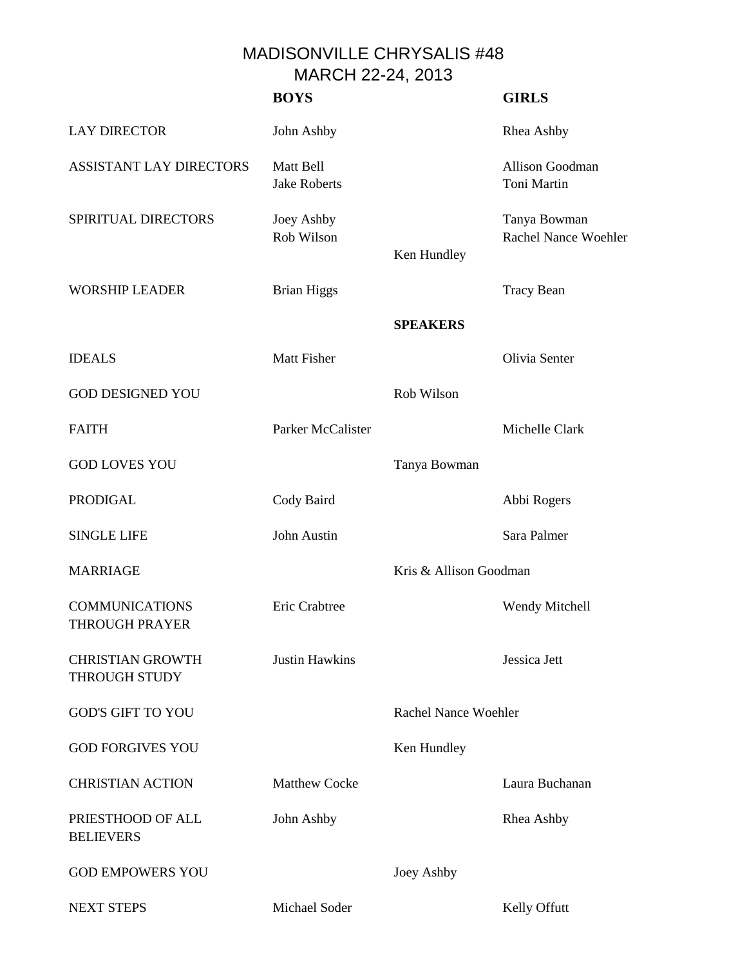## MADISONVILLE CHRYSALIS #48 MARCH 22-24, 2013

|                                                 | <b>BOYS</b>                      |                             | <b>GIRLS</b>                         |
|-------------------------------------------------|----------------------------------|-----------------------------|--------------------------------------|
| <b>LAY DIRECTOR</b>                             | John Ashby                       |                             | Rhea Ashby                           |
| <b>ASSISTANT LAY DIRECTORS</b>                  | Matt Bell<br><b>Jake Roberts</b> |                             | Allison Goodman<br>Toni Martin       |
| SPIRITUAL DIRECTORS                             | Joey Ashby<br>Rob Wilson         | Ken Hundley                 | Tanya Bowman<br>Rachel Nance Woehler |
| <b>WORSHIP LEADER</b>                           | <b>Brian Higgs</b>               |                             | <b>Tracy Bean</b>                    |
|                                                 |                                  | <b>SPEAKERS</b>             |                                      |
| <b>IDEALS</b>                                   | <b>Matt Fisher</b>               |                             | Olivia Senter                        |
| <b>GOD DESIGNED YOU</b>                         |                                  | Rob Wilson                  |                                      |
| <b>FAITH</b>                                    | Parker McCalister                |                             | Michelle Clark                       |
| <b>GOD LOVES YOU</b>                            |                                  | Tanya Bowman                |                                      |
| <b>PRODIGAL</b>                                 | Cody Baird                       |                             | Abbi Rogers                          |
| <b>SINGLE LIFE</b>                              | John Austin                      |                             | Sara Palmer                          |
| <b>MARRIAGE</b>                                 |                                  | Kris & Allison Goodman      |                                      |
| <b>COMMUNICATIONS</b><br><b>THROUGH PRAYER</b>  | Eric Crabtree                    |                             | Wendy Mitchell                       |
| <b>CHRISTIAN GROWTH</b><br><b>THROUGH STUDY</b> | <b>Justin Hawkins</b>            |                             | Jessica Jett                         |
| <b>GOD'S GIFT TO YOU</b>                        |                                  | <b>Rachel Nance Woehler</b> |                                      |
| <b>GOD FORGIVES YOU</b>                         |                                  | Ken Hundley                 |                                      |
| <b>CHRISTIAN ACTION</b>                         | <b>Matthew Cocke</b>             |                             | Laura Buchanan                       |
| PRIESTHOOD OF ALL<br><b>BELIEVERS</b>           | John Ashby                       |                             | Rhea Ashby                           |
| <b>GOD EMPOWERS YOU</b>                         |                                  | Joey Ashby                  |                                      |
| <b>NEXT STEPS</b>                               | Michael Soder                    |                             | Kelly Offutt                         |